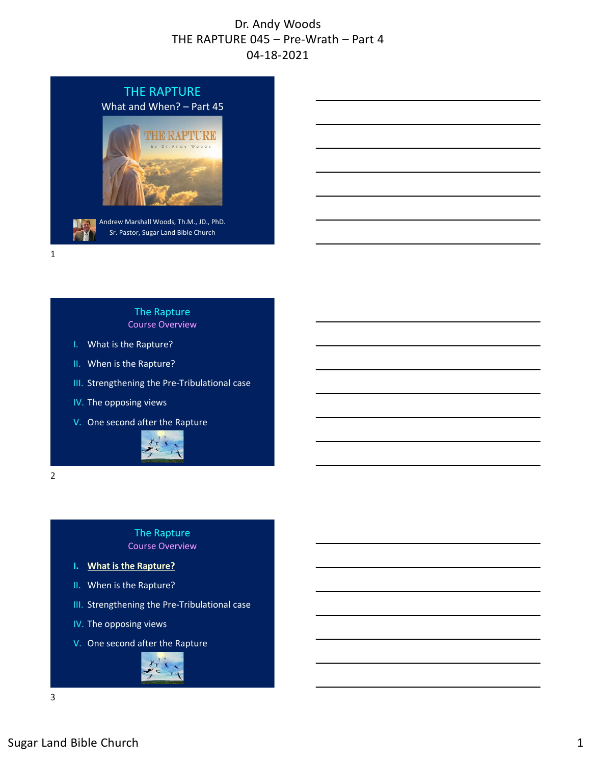

1

#### The Rapture Course Overview

- I. What is the Rapture?
- II. When is the Rapture?
- III. Strengthening the Pre‐Tribulational case
- IV. The opposing views
- V. One second after the Rapture



2

#### The Rapture Course Overview

- **I. What is the Rapture?**
- II. When is the Rapture?
- III. Strengthening the Pre‐Tribulational case
- IV. The opposing views
- V. One second after the Rapture

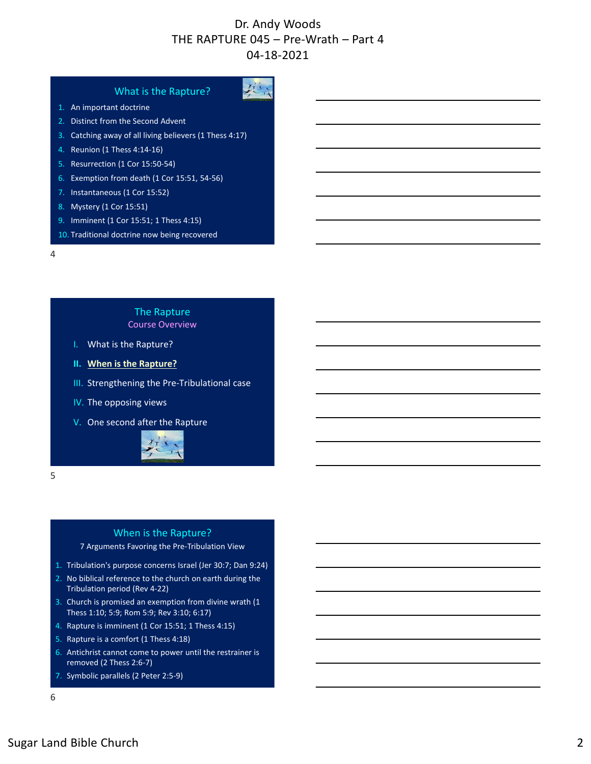#### What is the Rapture?

- 1. An important doctrine
- 2. Distinct from the Second Advent
- 3. Catching away of all living believers (1 Thess 4:17)
- 4. Reunion (1 Thess 4:14‐16)
- 5. Resurrection (1 Cor 15:50‐54)
- 6. Exemption from death (1 Cor 15:51, 54‐56)
- 7. Instantaneous (1 Cor 15:52)
- 8. Mystery (1 Cor 15:51)
- 9. Imminent (1 Cor 15:51; 1 Thess 4:15)
- 10. Traditional doctrine now being recovered

4

#### The Rapture Course Overview

- I. What is the Rapture?
- **II. When is the Rapture?**
- III. Strengthening the Pre‐Tribulational case
- IV. The opposing views
- V. One second after the Rapture



5

#### When is the Rapture?

#### 7 Arguments Favoring the Pre‐Tribulation View

- 1. Tribulation's purpose concerns Israel (Jer 30:7; Dan 9:24)
- 2. No biblical reference to the church on earth during the Tribulation period (Rev 4‐22)
- 3. Church is promised an exemption from divine wrath (1 Thess 1:10; 5:9; Rom 5:9; Rev 3:10; 6:17)
- 4. Rapture is imminent (1 Cor 15:51; 1 Thess 4:15)
- 5. Rapture is a comfort (1 Thess 4:18)
- 6. Antichrist cannot come to power until the restrainer is removed (2 Thess 2:6‐7)
- 7. Symbolic parallels (2 Peter 2:5‐9)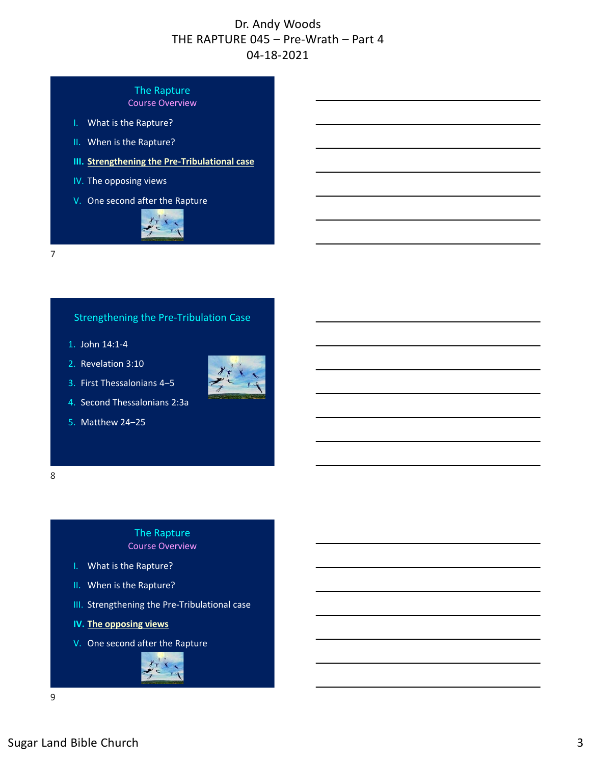#### The Rapture Course Overview

- I. What is the Rapture?
- II. When is the Rapture?
- **III. Strengthening the Pre‐Tribulational case**
- IV. The opposing views
- V. One second after the Rapture



7

#### Strengthening the Pre‐Tribulation Case

- 1. John 14:1‐4
- 2. Revelation 3:10
- 3. First Thessalonians 4‒5



5. Matthew 24‒25



#### The Rapture Course Overview

- I. What is the Rapture?
- II. When is the Rapture?
- III. Strengthening the Pre‐Tribulational case
- **IV. The opposing views**
- V. One second after the Rapture

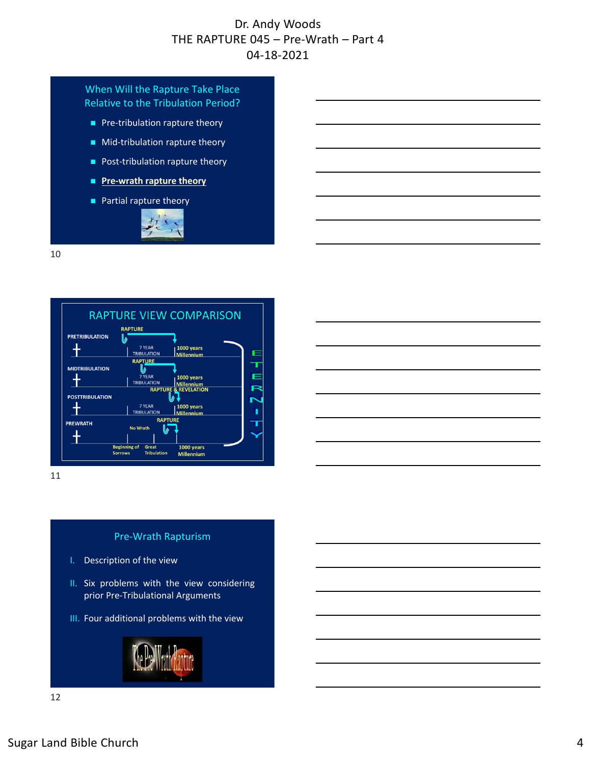#### When Will the Rapture Take Place Relative to the Tribulation Period?

- Pre-tribulation rapture theory
- Mid-tribulation rapture theory
- Post-tribulation rapture theory
- Pre-wrath rapture theory
- **Partial rapture theory**



10



11

#### Pre‐Wrath Rapturism

- I. Description of the view
- II. Six problems with the view considering prior Pre‐Tribulational Arguments
- III. Four additional problems with the view

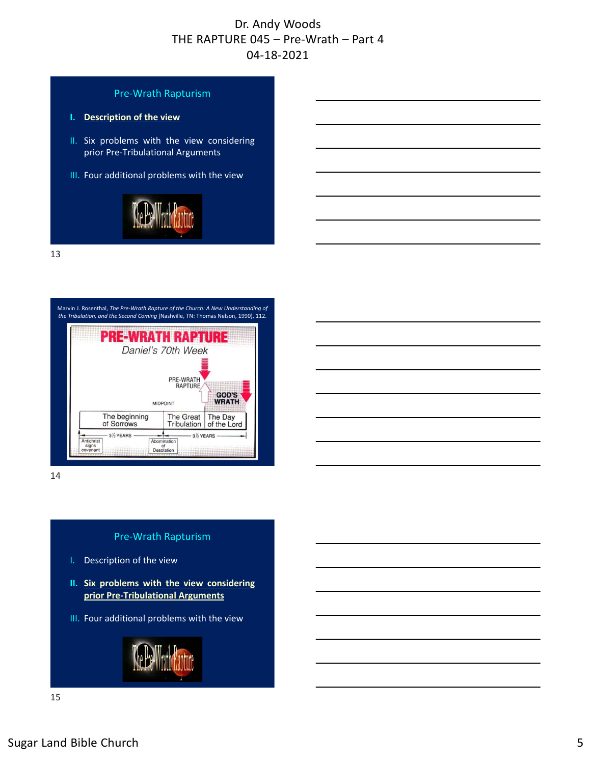



14

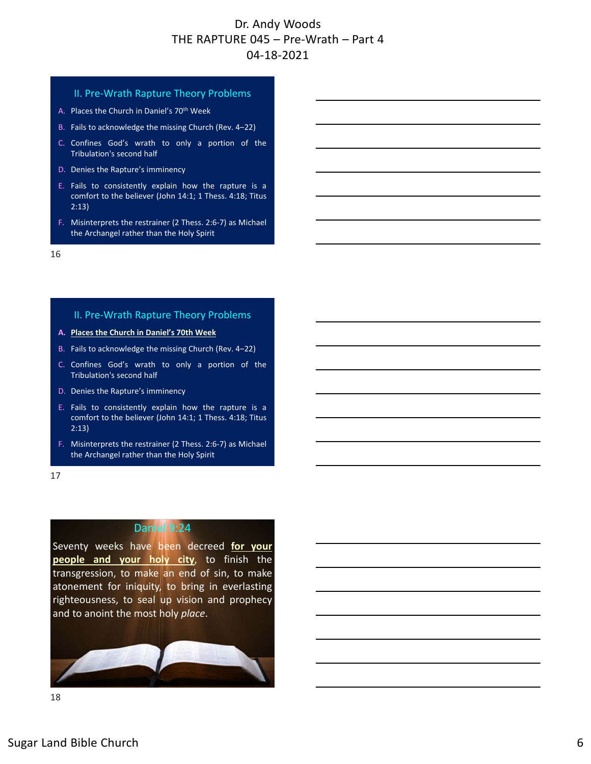#### II. Pre‐Wrath Rapture Theory Problems

- A. Places the Church in Daniel's 70<sup>th</sup> Week
- B. Fails to acknowledge the missing Church (Rev. 4-22)
- C. Confines God's wrath to only a portion of the Tribulation's second half
- D. Denies the Rapture's imminency
- E. Fails to consistently explain how the rapture is a comfort to the believer (John 14:1; 1 Thess. 4:18; Titus 2:13)
- F. Misinterprets the restrainer (2 Thess. 2:6‐7) as Michael the Archangel rather than the Holy Spirit

16

#### II. Pre‐Wrath Rapture Theory Problems

- **A. Places the Church in Daniel's 70th Week**
- B. Fails to acknowledge the missing Church (Rev. 4-22)
- C. Confines God's wrath to only a portion of the Tribulation's second half
- D. Denies the Rapture's imminency
- E. Fails to consistently explain how the rapture is a comfort to the believer (John 14:1; 1 Thess. 4:18; Titus 2:13)
- F. Misinterprets the restrainer (2 Thess. 2:6‐7) as Michael the Archangel rather than the Holy Spirit
- 17

#### Daniel 9:24

Seventy weeks have been decreed **for your people and your holy city**, to finish the transgression, to make an end of sin, to make atonement for iniquity, to bring in everlasting righteousness, to seal up vision and prophecy and to anoint the most holy *place*.

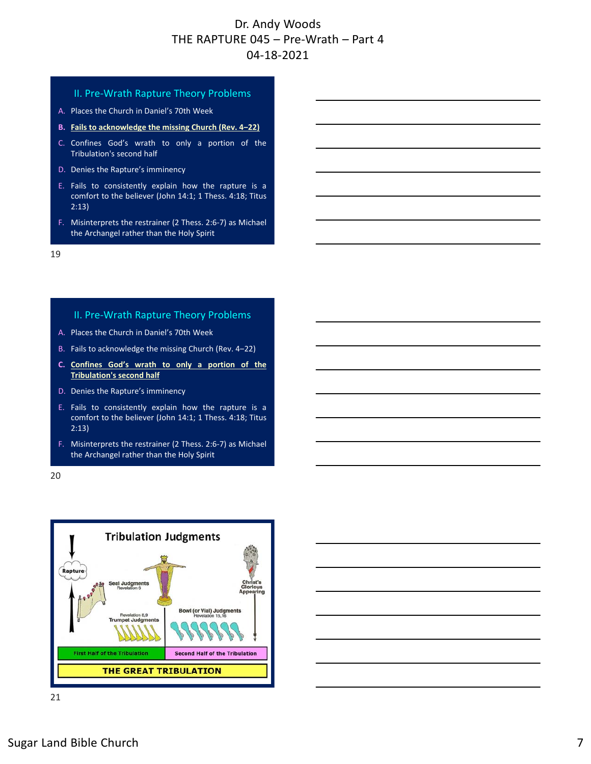#### II. Pre‐Wrath Rapture Theory Problems

- A. Places the Church in Daniel's 70th Week
- **B. Fails to acknowledge the missing Church (Rev. 4‒22)**
- C. Confines God's wrath to only a portion of the Tribulation's second half
- D. Denies the Rapture's imminency
- E. Fails to consistently explain how the rapture is a comfort to the believer (John 14:1; 1 Thess. 4:18; Titus 2:13)
- F. Misinterprets the restrainer (2 Thess. 2:6‐7) as Michael the Archangel rather than the Holy Spirit

19

#### II. Pre‐Wrath Rapture Theory Problems

- A. Places the Church in Daniel's 70th Week
- B. Fails to acknowledge the missing Church (Rev. 4-22)
- **C. Confines God's wrath to only a portion of the Tribulation's second half**
- D. Denies the Rapture's imminency
- E. Fails to consistently explain how the rapture is a comfort to the believer (John 14:1; 1 Thess. 4:18; Titus 2:13)
- F. Misinterprets the restrainer (2 Thess. 2:6‐7) as Michael the Archangel rather than the Holy Spirit

20

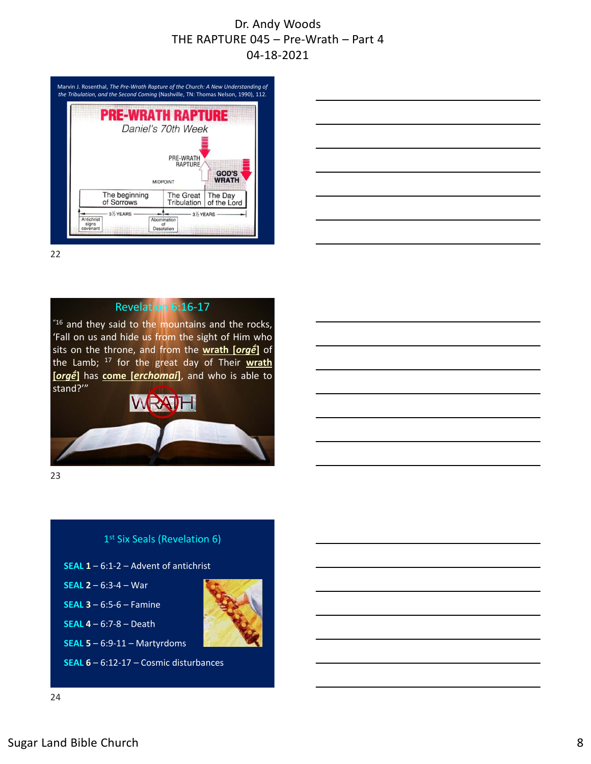

22

#### Revelation 6:16‐17

 $16$  and they said to the mountains and the rocks, 'Fall on us and hide us from the sight of Him who sits on the throne, and from the **wrath [***orgḗ***]** of the Lamb; <sup>17</sup> for the great day of Their **wrath [***orgḗ***]** has **come [***erchomai***]**, and who is able to stand?'"



23



- **SEAL 1** 6:1‐2 Advent of antichrist
- **SEAL 2** 6:3‐4 War
- **SEAL 3** 6:5‐6 Famine
- **SEAL 4** 6:7‐8 Death
- **SEAL 5** 6:9‐11 Martyrdoms

**SEAL 6** – 6:12‐17 – Cosmic disturbances



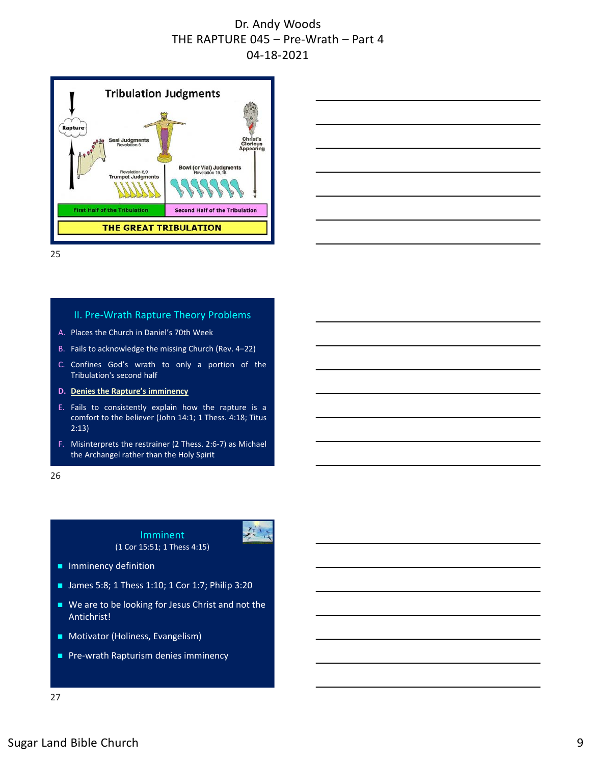



25

#### II. Pre‐Wrath Rapture Theory Problems

- A. Places the Church in Daniel's 70th Week
- B. Fails to acknowledge the missing Church (Rev. 4-22)
- C. Confines God's wrath to only a portion of the Tribulation's second half
- **D. Denies the Rapture's imminency**
- E. Fails to consistently explain how the rapture is a comfort to the believer (John 14:1; 1 Thess. 4:18; Titus 2:13)
- F. Misinterprets the restrainer (2 Thess. 2:6‐7) as Michael the Archangel rather than the Holy Spirit

26

#### Imminent (1 Cor 15:51; 1 Thess 4:15)



- **Imminency definition**
- James 5:8; 1 Thess 1:10; 1 Cor 1:7; Philip 3:20
- We are to be looking for Jesus Christ and not the Antichrist!
- **Motivator (Holiness, Evangelism)**
- Pre-wrath Rapturism denies imminency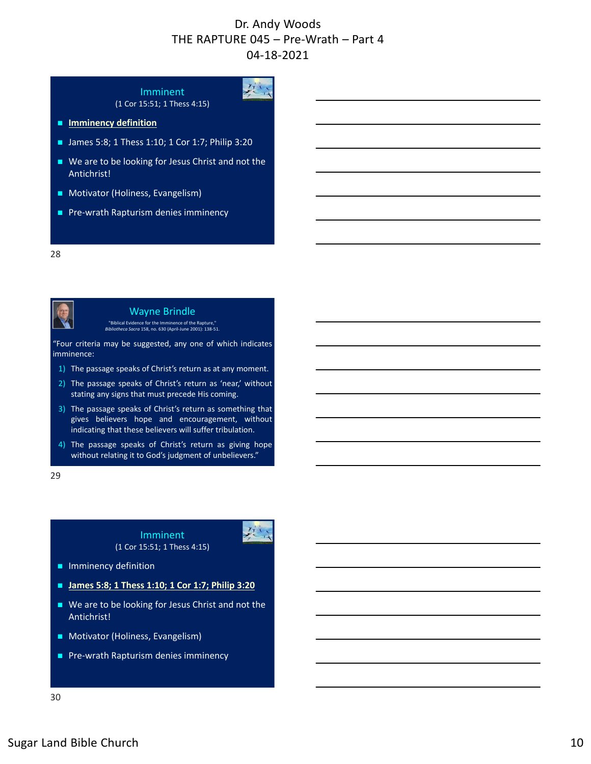$2\frac{1}{2}$ 

# Imminent

(1 Cor 15:51; 1 Thess 4:15)

- $I$  Imminency definition
- James 5:8; 1 Thess 1:10; 1 Cor 1:7; Philip 3:20
- We are to be looking for Jesus Christ and not the Antichrist!
- **Motivator (Holiness, Evangelism)**
- Pre-wrath Rapturism denies imminency

#### 28



Wayne Brindle

"Biblical Evidence for the Imminence of the Rapture," *Bibliotheca Sacra* 158, no. 630 (April‐June 2001): 138‐51.

"Four criteria may be suggested, any one of which indicates imminence:

- 1) The passage speaks of Christ's return as at any moment.
- 2) The passage speaks of Christ's return as 'near,' without stating any signs that must precede His coming.
- 3) The passage speaks of Christ's return as something that gives believers hope and encouragement, without indicating that these believers will suffer tribulation.
- 4) The passage speaks of Christ's return as giving hope without relating it to God's judgment of unbelievers."

29

#### Imminent (1 Cor 15:51; 1 Thess 4:15)



**Imminency definition** 

- James 5:8; 1 Thess 1:10; 1 Cor 1:7; Philip 3:20
- We are to be looking for Jesus Christ and not the Antichrist!
- **Motivator (Holiness, Evangelism)**
- Pre-wrath Rapturism denies imminency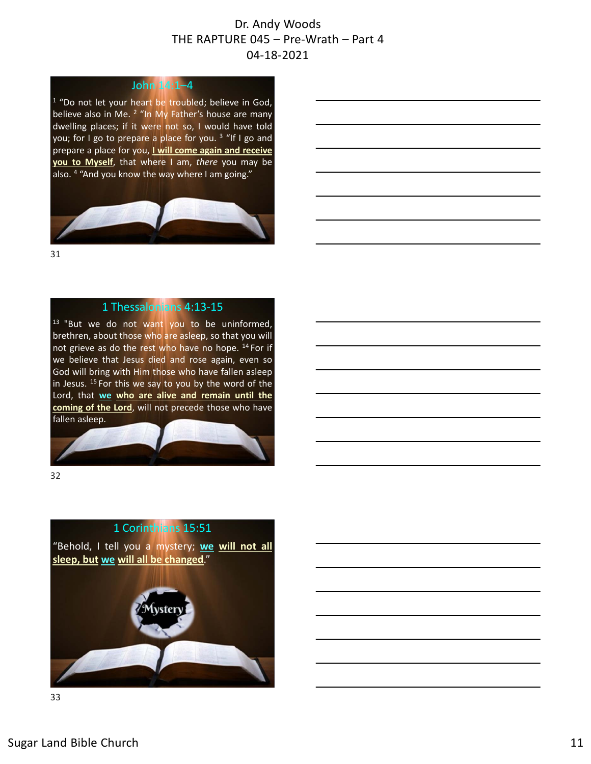#### John 14:1–4

<sup>1</sup> "Do not let your heart be troubled; believe in God, believe also in Me. <sup>2</sup> "In My Father's house are many dwelling places; if it were not so, I would have told you; for I go to prepare a place for you.<sup>3</sup> "If I go and prepare a place for you, **I will come again and receive you to Myself**, that where I am, *there* you may be also. <sup>4</sup> "And you know the way where I am going."



31

#### 1 Thessalonians 4:13‐15

<sup>13</sup> "But we do not want you to be uninformed, brethren, about those who are asleep, so that you will not grieve as do the rest who have no hope. <sup>14</sup> For if we believe that Jesus died and rose again, even so God will bring with Him those who have fallen asleep in Jesus. <sup>15</sup> For this we say to you by the word of the Lord, that **we who are alive and remain until the coming of the Lord**, will not precede those who have fallen asleep.



32

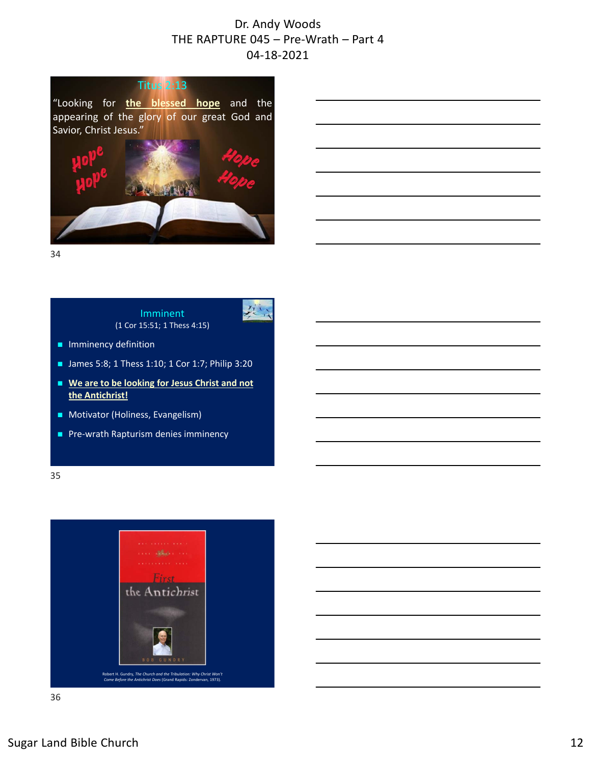

34

Imminent (1 Cor 15:51; 1 Thess 4:15)



- **Imminency definition**
- $\blacksquare$  James 5:8; 1 Thess 1:10; 1 Cor 1:7; Philip 3:20
- We are to be looking for Jesus Christ and not **the Antichrist!**
- **Motivator (Holiness, Evangelism)**
- Pre-wrath Rapturism denies imminency

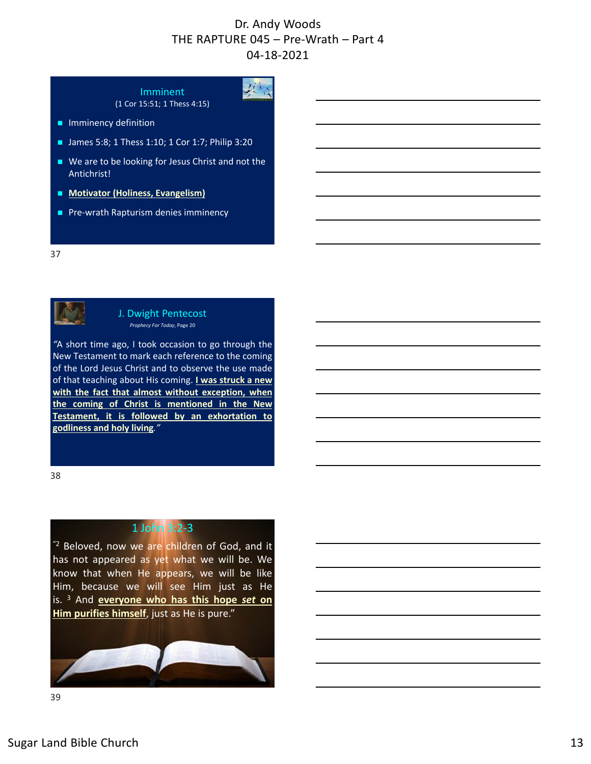红人

# Imminent

(1 Cor 15:51; 1 Thess 4:15)

- **Imminency definition**
- James 5:8; 1 Thess 1:10; 1 Cor 1:7; Philip 3:20
- We are to be looking for Jesus Christ and not the Antichrist!
- **Motivator (Holiness, Evangelism)**
- Pre-wrath Rapturism denies imminency

37



#### J. Dwight Pentecost *Prophecy For Today*, Page 20

*"*A short time ago, I took occasion to go through the New Testament to mark each reference to the coming of the Lord Jesus Christ and to observe the use made of that teaching about His coming. **I was struck a new with the fact that almost without exception, when the coming of Christ is mentioned in the New Testament, it is followed by an exhortation to godliness and holy living***."*

38

## 1 John 3:2‐3

 $"$ <sup>2</sup> Beloved, now we are children of God, and it has not appeared as yet what we will be. We know that when He appears, we will be like Him, because we will see Him just as He is. <sup>3</sup> And **everyone who has this hope** *set* **on Him purifies himself**, just as He is pure."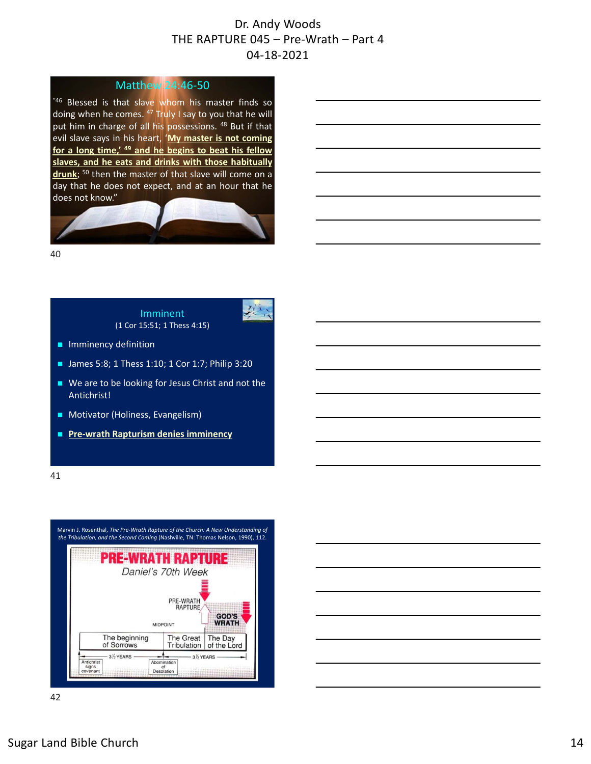放

#### Matthew 24:46‐50

"46 Blessed is that slave whom his master finds so doing when he comes. <sup>47</sup> Truly I say to you that he will put him in charge of all his possessions. <sup>48</sup> But if that evil slave says in his heart, '**My master is not coming for a long time,' <sup>49</sup> and he begins to beat his fellow slaves, and he eats and drinks with those habitually drunk**; <sup>50</sup> then the master of that slave will come on a day that he does not expect, and at an hour that he does not know."



40

Imminent (1 Cor 15:51; 1 Thess 4:15)

- **Imminency definition**
- James 5:8; 1 Thess 1:10; 1 Cor 1:7; Philip 3:20
- We are to be looking for Jesus Christ and not the Antichrist!
- **Motivator (Holiness, Evangelism)**
- Pre-wrath Rapturism denies imminency

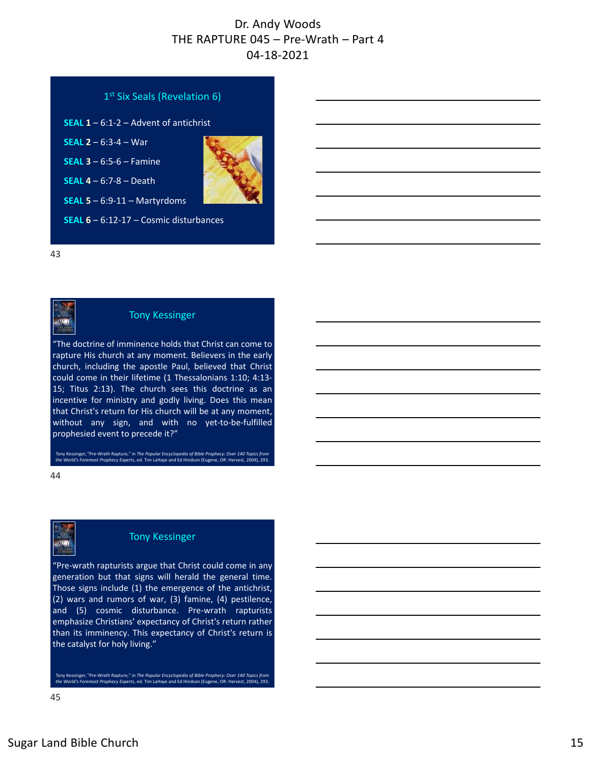

43



#### Tony Kessinger

"The doctrine of imminence holds that Christ can come to rapture His church at any moment. Believers in the early church, including the apostle Paul, believed that Christ could come in their lifetime (1 Thessalonians 1:10; 4:13‐ 15; Titus 2:13). The church sees this doctrine as an incentive for ministry and godly living. Does this mean that Christ's return for His church will be at any moment, without any sign, and with no yet-to-be-fulfilled prophesied event to precede it?"

Tony Kessinger, "Pre‐Wrath Rapture," in *The Popular Encyclopedia of Bible Prophecy: Over 140 Topics from the World's Foremost Prophecy Experts*, ed. Tim LaHaye and Ed Hindson (Eugene, OR: Harvest, 2004), 293.

44



#### Tony Kessinger

"Pre‐wrath rapturists argue that Christ could come in any generation but that signs will herald the general time. Those signs include (1) the emergence of the antichrist, (2) wars and rumors of war, (3) famine, (4) pestilence, and (5) cosmic disturbance. Pre‐wrath rapturists emphasize Christians' expectancy of Christ's return rather than its imminency. This expectancy of Christ's return is the catalyst for holy living."

Tony Kessinger, "Pre‐Wrath Rapture," in *The Popular Encyclopedia of Bible Prophecy: Over 140 Topics from the World's Foremost Prophecy Experts*, ed. Tim LaHaye and Ed Hindson (Eugene, OR: Harvest, 2004), 293.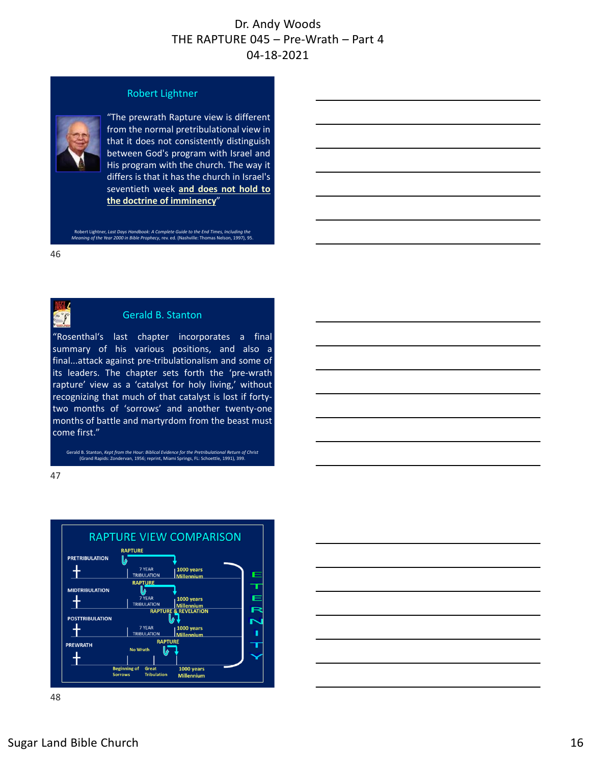#### Robert Lightner



"The prewrath Rapture view is different from the normal pretribulational view in that it does not consistently distinguish between God's program with Israel and His program with the church. The way it differs is that it has the church in Israel's seventieth week **and does not hold to the doctrine of imminency**"

Robert Lightner, *Last Days Handbook: A Complete Guide to the End Times, Including the Meaning of the Year 2000 in Bible Prophecy*, rev. ed. (Nashville: Thomas Nelson, 1997), 95.

46

 $\mathcal{T}$ 

#### Gerald B. Stanton

"Rosenthal's last chapter incorporates a final summary of his various positions, and also a final...attack against pre‐tribulationalism and some of its leaders. The chapter sets forth the 'pre‐wrath rapture' view as a 'catalyst for holy living,' without recognizing that much of that catalyst is lost if forty‐ two months of 'sorrows' and another twenty‐one months of battle and martyrdom from the beast must come first."

Gerald B. Stanton, *Kept from the Hour: Biblical Evidence for the Pretribulational Return of Christ* (Grand Rapids: Zondervan, 1956; reprint, Miami Springs, FL: Schoettle, 1991), 399.



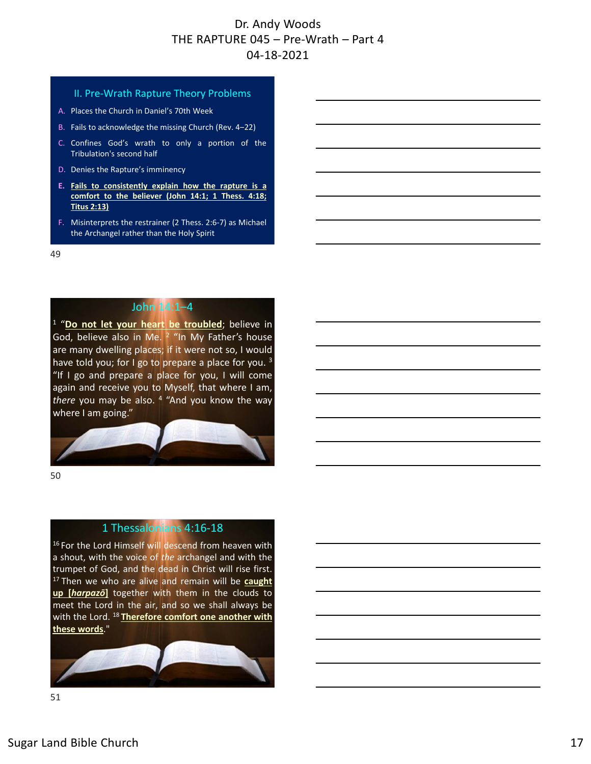#### II. Pre‐Wrath Rapture Theory Problems

- A. Places the Church in Daniel's 70th Week
- B. Fails to acknowledge the missing Church (Rev. 4-22)
- C. Confines God's wrath to only a portion of the Tribulation's second half
- D. Denies the Rapture's imminency
- **E. Fails to consistently explain how the rapture is a comfort to the believer (John 14:1; 1 Thess. 4:18; Titus 2:13)**
- F. Misinterprets the restrainer (2 Thess. 2:6‐7) as Michael the Archangel rather than the Holy Spirit

49

#### John 14:1–4

<sup>1</sup> "Do not let your heart be troubled; believe in God, believe also in Me. <sup>2</sup> "In My Father's house are many dwelling places; if it were not so, I would have told you; for I go to prepare a place for you.<sup>3</sup> "If I go and prepare a place for you, I will come again and receive you to Myself, that where I am, *there* you may be also. <sup>4</sup> "And you know the way where I am going."



50

#### 1 Thessalonians 4:16‐18

<sup>16</sup> For the Lord Himself will descend from heaven with a shout, with the voice of *the* archangel and with the trumpet of God, and the dead in Christ will rise first. <sup>17</sup> Then we who are alive and remain will be **caught up [***harpazō***]** together with them in the clouds to meet the Lord in the air, and so we shall always be with the Lord. <sup>18</sup> **Therefore comfort one another with these words**."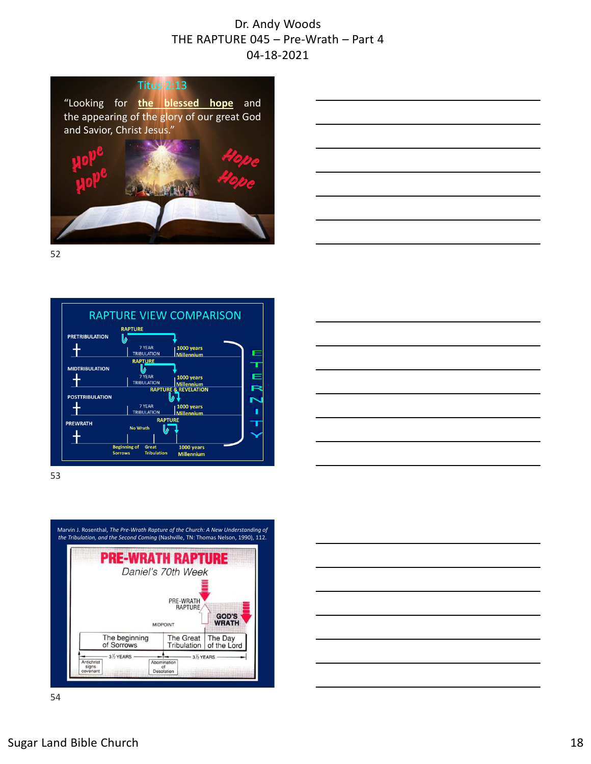

52



53

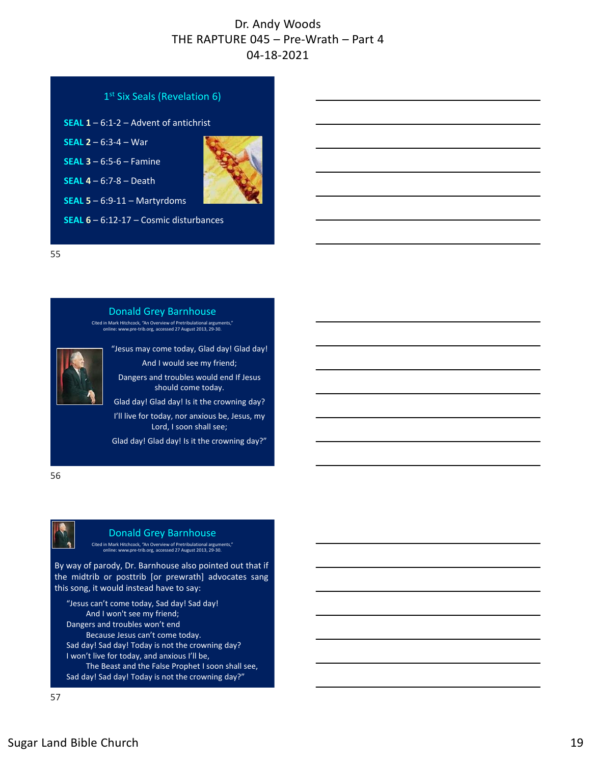| 1 <sup>st</sup> Six Seals (Revelation 6)          |  |  |
|---------------------------------------------------|--|--|
| <b>SEAL 1</b> $-$ 6:1-2 $-$ Advent of antichrist  |  |  |
| <b>SEAL 2</b> $-$ 6:3-4 $-$ War                   |  |  |
| <b>SEAL 3</b> $- 6:5-6 -$ Famine                  |  |  |
| SEAL $4 - 6:7-8 - \text{Death}$                   |  |  |
| <b>SEAL 5</b> $- 6:9-11 - \text{Martyrdoms}$      |  |  |
| <b>SEAL 6</b> $-$ 6:12-17 $-$ Cosmic disturbances |  |  |
|                                                   |  |  |

55



56



#### Donald Grey Barnhouse

Cited in Mark Hitchcock, "An Overview of Pretribulational arguments," online: www.pre‐trib.org, accessed 27 August 2013, 29‐30.

By way of parody, Dr. Barnhouse also pointed out that if the midtrib or posttrib [or prewrath] advocates sang this song, it would instead have to say:

"Jesus can't come today, Sad day! Sad day! And I won't see my friend; Dangers and troubles won't end Because Jesus can't come today. Sad day! Sad day! Today is not the crowning day? I won't live for today, and anxious I'll be, The Beast and the False Prophet I soon shall see, Sad day! Sad day! Today is not the crowning day?"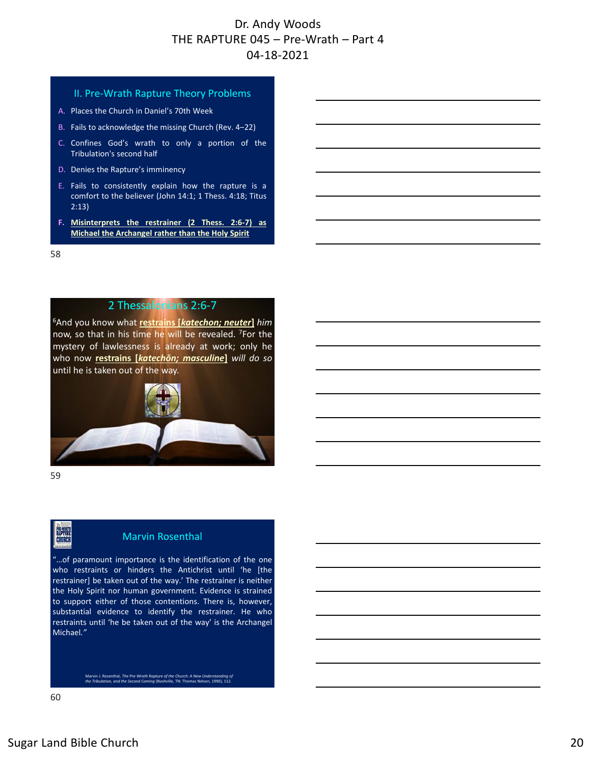#### II. Pre‐Wrath Rapture Theory Problems

- A. Places the Church in Daniel's 70th Week
- B. Fails to acknowledge the missing Church (Rev. 4-22)
- C. Confines God's wrath to only a portion of the Tribulation's second half
- D. Denies the Rapture's imminency
- E. Fails to consistently explain how the rapture is a comfort to the believer (John 14:1; 1 Thess. 4:18; Titus 2:13)
- **F. Misinterprets the restrainer (2 Thess. 2:6‐7) as Michael the Archangel rather than the Holy Spirit**

58

#### 2 Thessalonians 2:6‐7

6And you know what **restrains [***katechon; neuter***]** *him* now, so that in his time he will be revealed. 7For the mystery of lawlessness is already at work; only he who now **restrains [***katechōn; masculine***]** *will do so* until he is taken out of the way.



59

ELPTORE

#### Marvin Rosenthal

"…of paramount importance is the identification of the one who restraints or hinders the Antichrist until 'he [the restrainer] be taken out of the way.' The restrainer is neither the Holy Spirit nor human government. Evidence is strained to support either of those contentions. There is, however, substantial evidence to identify the restrainer. He who restraints until 'he be taken out of the way' is the Archangel Michael*."*

Marvin J. Rosenthal, *The Pre‐Wrath Rapture of the Church: A New Understanding of the Tribulation, and the Second Coming* (Nashville, TN: Thomas Nelson, 1990), 112.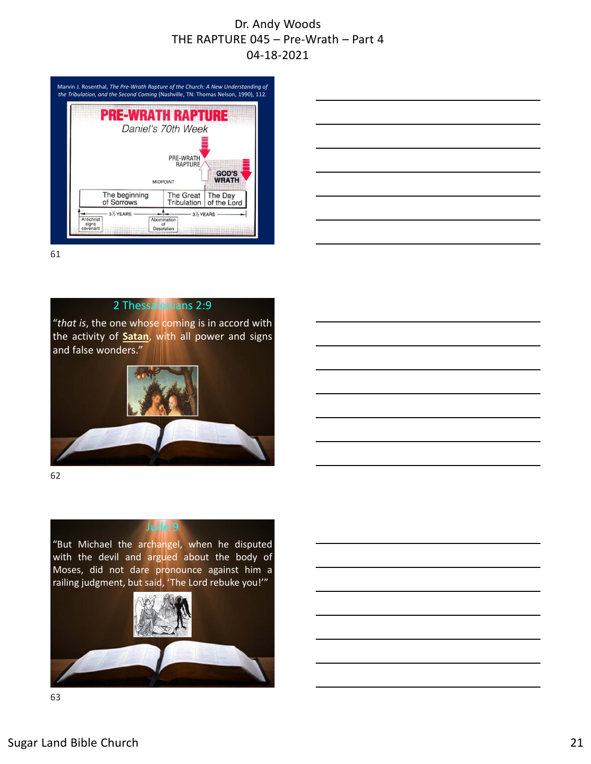



61

#### 2 Thessalonians 2:9

"*that is*, the one whose coming is in accord with the activity of **Satan**, with all power and signs and false wonders."



62

# Jude 9

"But Michael the archangel, when he disputed with the devil and argued about the body of Moses, did not dare pronounce against him a railing judgment, but said, 'The Lord rebuke you!'"

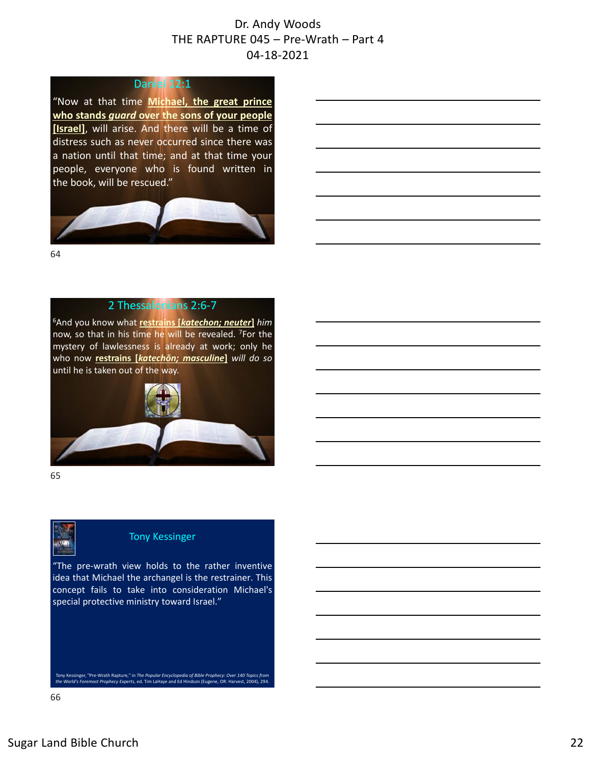#### Daniel 12:1

"Now at that time **Michael, the great prince who stands** *guard* **over the sons of your people [Israel]**, will arise. And there will be a time of distress such as never occurred since there was a nation until that time; and at that time your people, everyone who is found written in the book, will be rescued."



64

#### 2 Thessalonians 2:6‐7

6And you know what **restrains [***katechon; neuter***]** *him* now, so that in his time he will be revealed. 7For the mystery of lawlessness is already at work; only he who now **restrains [***katechōn; masculine***]** *will do so* until he is taken out of the way.



65



#### Tony Kessinger

"The pre‐wrath view holds to the rather inventive idea that Michael the archangel is the restrainer. This concept fails to take into consideration Michael's special protective ministry toward Israel."

Tony Kessinger, "Pre‐Wrath Rapture," in *The Popular Encyclopedia of Bible Prophecy: Over 140 Topics from the World's Foremost Prophecy Experts*, ed. Tim LaHaye and Ed Hindson (Eugene, OR: Harvest, 2004), 294.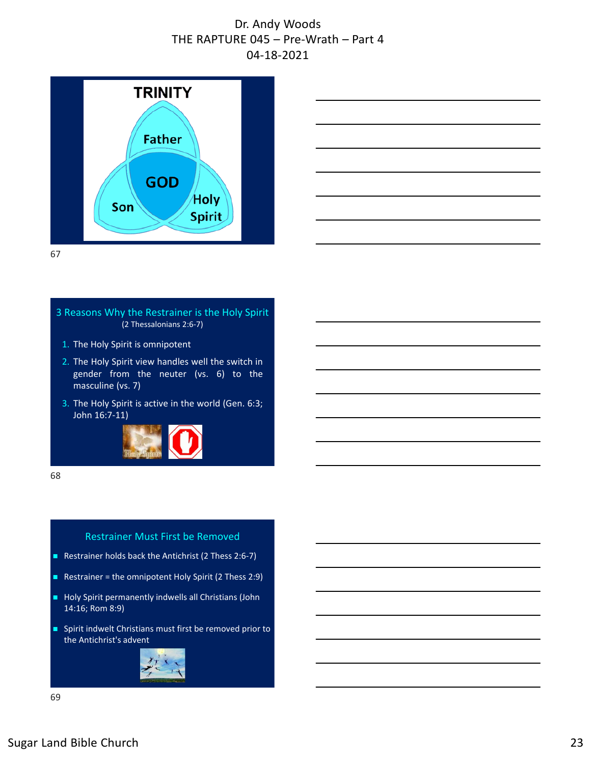



67

#### 3 Reasons Why the Restrainer is the Holy Spirit (2 Thessalonians 2:6‐7)

- 1. The Holy Spirit is omnipotent
- 2. The Holy Spirit view handles well the switch in gender from the neuter (vs. 6) to the masculine (vs. 7)
- 3. The Holy Spirit is active in the world (Gen. 6:3; John 16:7‐11)



68

#### Restrainer Must First be Removed

- Restrainer holds back the Antichrist (2 Thess 2:6-7)
- Restrainer = the omnipotent Holy Spirit (2 Thess 2:9)
- Holy Spirit permanently indwells all Christians (John 14:16; Rom 8:9)
- **Spirit indwelt Christians must first be removed prior to** the Antichrist's advent

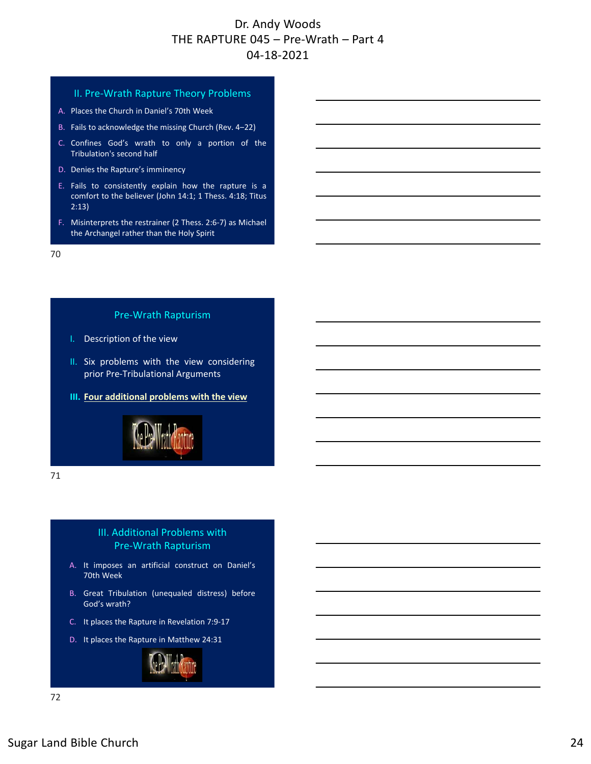#### II. Pre‐Wrath Rapture Theory Problems

- A. Places the Church in Daniel's 70th Week
- B. Fails to acknowledge the missing Church (Rev. 4-22)
- C. Confines God's wrath to only a portion of the Tribulation's second half
- D. Denies the Rapture's imminency
- E. Fails to consistently explain how the rapture is a comfort to the believer (John 14:1; 1 Thess. 4:18; Titus 2:13)
- F. Misinterprets the restrainer (2 Thess. 2:6‐7) as Michael the Archangel rather than the Holy Spirit

70

#### Pre‐Wrath Rapturism

- I. Description of the view
- II. Six problems with the view considering prior Pre‐Tribulational Arguments
- **III. Four additional problems with the view**



71

#### III. Additional Problems with Pre‐Wrath Rapturism

- A. It imposes an artificial construct on Daniel's 70th Week
- B. Great Tribulation (unequaled distress) before God's wrath?
- C. It places the Rapture in Revelation 7:9‐17
- D. It places the Rapture in Matthew 24:31

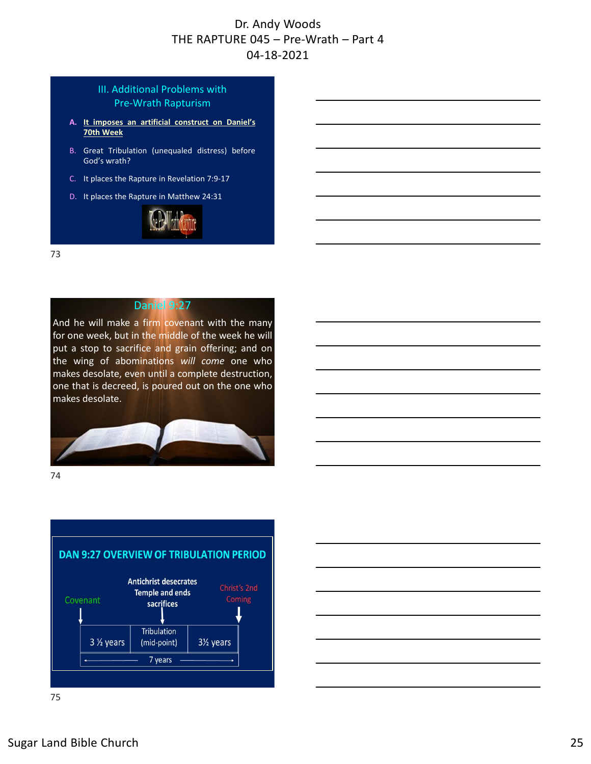#### III. Additional Problems with Pre‐Wrath Rapturism

- **A. It imposes an artificial construct on Daniel's 70th Week**
- B. Great Tribulation (unequaled distress) before God's wrath?
- C. It places the Rapture in Revelation 7:9‐17
- D. It places the Rapture in Matthew 24:31



73



And he will make a firm covenant with the many for one week, but in the middle of the week he will put a stop to sacrifice and grain offering; and on the wing of abominations *will come* one who makes desolate, even until a complete destruction, one that is decreed, is poured out on the one who makes desolate.



74



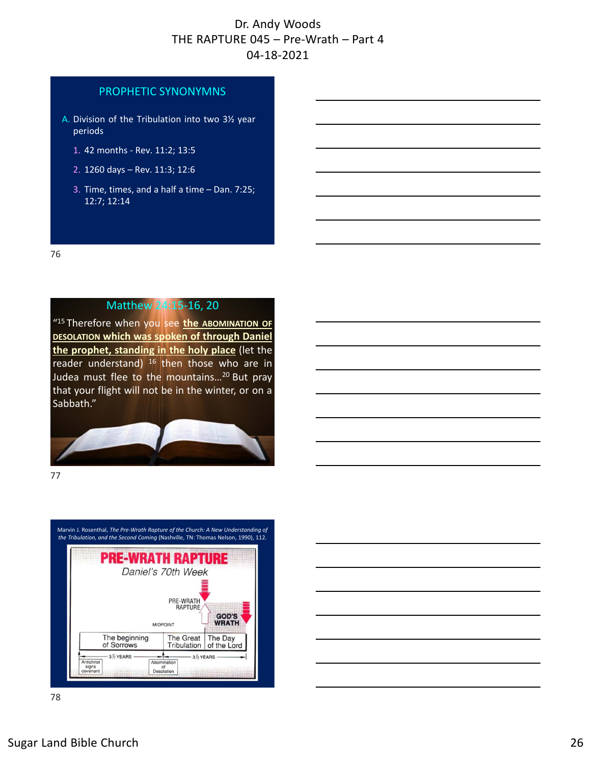#### PROPHETIC SYNONYMNS

- A. Division of the Tribulation into two 3½ year periods
	- 1. 42 months ‐ Rev. 11:2; 13:5
	- 2. 1260 days Rev. 11:3; 12:6
	- 3. Time, times, and a half a time Dan. 7:25; 12:7; 12:14

76

# Matthew 24:15‐16, 20

"15 Therefore when you see **the ABOMINATION OF DESOLATION which was spoken of through Daniel the prophet, standing in the holy place** (let the reader understand)  $16$  then those who are in Judea must flee to the mountains…20 But pray that your flight will not be in the winter, or on a Sabbath."



77

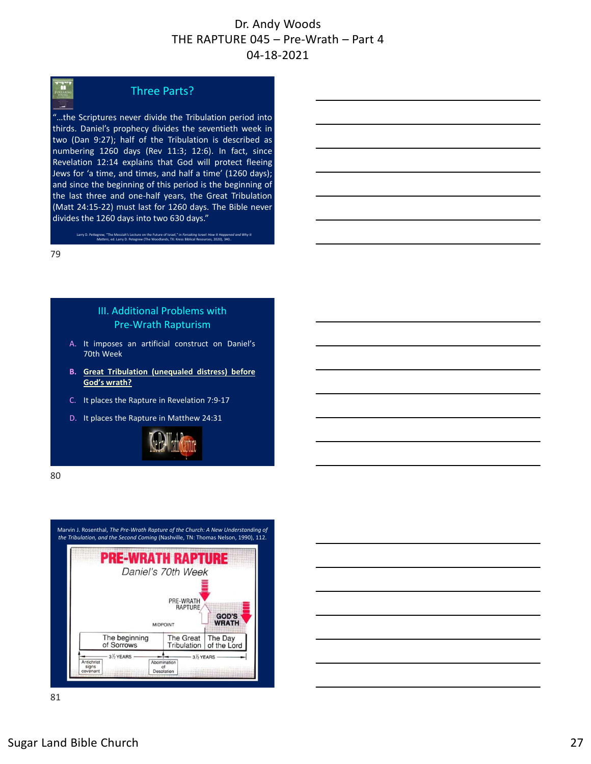# m.

#### Three Parts?

"…the Scriptures never divide the Tribulation period into thirds. Daniel's prophecy divides the seventieth week in two (Dan 9:27); half of the Tribulation is described as numbering 1260 days (Rev 11:3; 12:6). In fact, since Revelation 12:14 explains that God will protect fleeing Jews for 'a time, and times, and half a time' (1260 days); and since the beginning of this period is the beginning of the last three and one‐half years, the Great Tribulation (Matt 24:15‐22) must last for 1260 days. The Bible never divides the 1260 days into two 630 days."

Larry D. Pettegrew, "The Messiah's Lecture on the Future of Israel," in *Forsaking Israel: How It Happened and Why It Matters*, ed. Larry D. Petegrew (The Woodlands, TX: Kress Biblical Resources, 2020), 340..

79

#### III. Additional Problems with Pre‐Wrath Rapturism

- A. It imposes an artificial construct on Daniel's 70th Week
- **B. Great Tribulation (unequaled distress) before God's wrath?**
- C. It places the Rapture in Revelation 7:9‐17
- D. It places the Rapture in Matthew 24:31



80

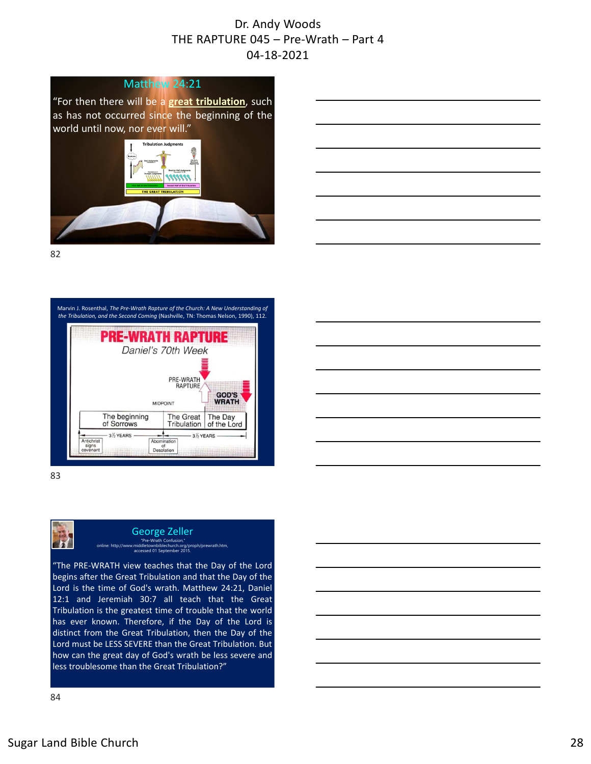#### Matthew 24:21

"For then there will be a **great tribulation**, such as has not occurred since the beginning of the world until now, nor ever will."



82



83



#### George Zeller Pre-Wrath Confusin<br>middletownbiblechurch online: http://www.middletownbiblechurch.org/proph/prewrath.htm, accessed 01 September 2015.

"The PRE‐WRATH view teaches that the Day of the Lord begins after the Great Tribulation and that the Day of the Lord is the time of God's wrath. Matthew 24:21, Daniel 12:1 and Jeremiah 30:7 all teach that the Great Tribulation is the greatest time of trouble that the world has ever known. Therefore, if the Day of the Lord is distinct from the Great Tribulation, then the Day of the Lord must be LESS SEVERE than the Great Tribulation. But how can the great day of God's wrath be less severe and less troublesome than the Great Tribulation?"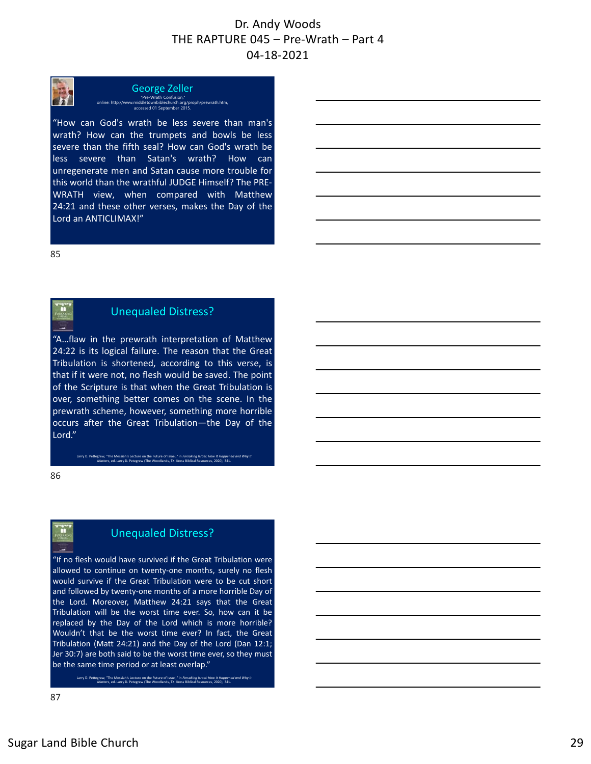George Zeller "Pre-Wrath Confusion," online: http://www.middletownbiblechurch.org/proph/prewrath.htm, accessed 01 September 2015.

"How can God's wrath be less severe than man's wrath? How can the trumpets and bowls be less severe than the fifth seal? How can God's wrath be less severe than Satan's wrath? How can unregenerate men and Satan cause more trouble for this world than the wrathful JUDGE Himself? The PRE‐ WRATH view, when compared with Matthew 24:21 and these other verses, makes the Day of the Lord an ANTICLIMAX!"

85

# Unequaled Distress?

"A…flaw in the prewrath interpretation of Matthew 24:22 is its logical failure. The reason that the Great Tribulation is shortened, according to this verse, is that if it were not, no flesh would be saved. The point of the Scripture is that when the Great Tribulation is over, something better comes on the scene. In the prewrath scheme, however, something more horrible occurs after the Great Tribulation—the Day of the Lord."

> Larry D. Pettegrew, "The Messiah's Lecture on the Future of Israel," in *Forsaking Israel: How It Happened and Why It Matters*, ed. Larry D. Petegrew (The Woodlands, TX: Kress Biblical Resources, 2020), 341.

86

Ŧ

# Unequaled Distress?

"If no flesh would have survived if the Great Tribulation were allowed to continue on twenty‐one months, surely no flesh would survive if the Great Tribulation were to be cut short and followed by twenty‐one months of a more horrible Day of the Lord. Moreover, Matthew 24:21 says that the Great Tribulation will be the worst time ever. So, how can it be replaced by the Day of the Lord which is more horrible? Wouldn't that be the worst time ever? In fact, the Great Tribulation (Matt 24:21) and the Day of the Lord (Dan 12:1; Jer 30:7) are both said to be the worst time ever, so they must be the same time period or at least overlap."

Larry D. Pettegrew, "The Messiah's Lecture on the Future of Israel," in *Forsaking Israel: How It Happened and Why It Matters*, ed. Larry D. Petegrew (The Woodlands, TX: Kress Biblical Resources, 2020), 341.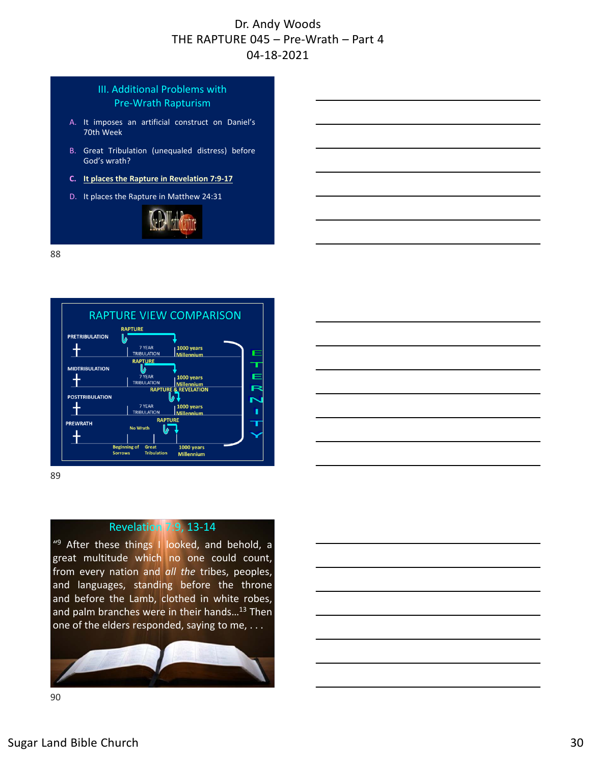#### III. Additional Problems with Pre‐Wrath Rapturism

- A. It imposes an artificial construct on Daniel's 70th Week
- B. Great Tribulation (unequaled distress) before God's wrath?
- **C. It places the Rapture in Revelation 7:9‐17**
- D. It places the Rapture in Matthew 24:31



88



89

#### Revelation 7:9, 13‐14

"<sup>9</sup> After these things I looked, and behold, a great multitude which no one could count, from every nation and *all the* tribes, peoples, and languages, standing before the throne and before the Lamb, clothed in white robes, and palm branches were in their hands...<sup>13</sup> Then one of the elders responded, saying to me, . . .

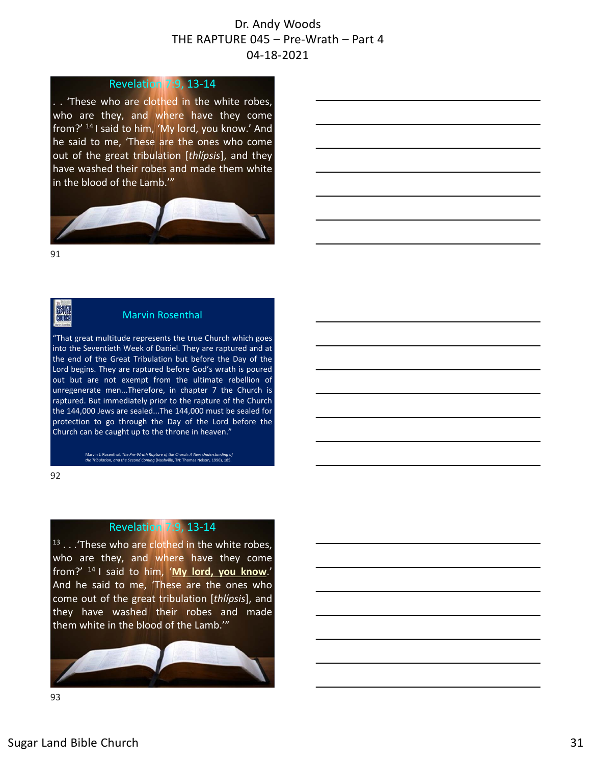#### Revelation 7:9, 13‐14

. . 'These who are clothed in the white robes, who are they, and where have they come from?' <sup>14</sup> I said to him, 'My lord, you know.' And he said to me, 'These are the ones who come out of the great tribulation [*thlípsis*], and they have washed their robes and made them white in the blood of the Lamb.'"



91

**PAL-MANTE** 

#### Marvin Rosenthal

"That great multitude represents the true Church which goes into the Seventieth Week of Daniel. They are raptured and at the end of the Great Tribulation but before the Day of the Lord begins. They are raptured before God's wrath is poured out but are not exempt from the ultimate rebellion of unregenerate men...Therefore, in chapter 7 the Church is raptured. But immediately prior to the rapture of the Church the 144,000 Jews are sealed...The 144,000 must be sealed for protection to go through the Day of the Lord before the Church can be caught up to the throne in heaven."

Marvin J. Rosenthal, *The Pre‐Wrath Rapture of the Church: A New Understanding of the Tribulation, and the Second Coming* (Nashville, TN: Thomas Nelson, 1990), 185.

92

#### Revelation 7:9, 13‐14

13 . . . 'These who are clothed in the white robes, who are they, and where have they come from?' <sup>14</sup> I said to him, '**My lord, you know**.' And he said to me, 'These are the ones who come out of the great tribulation [*thlípsis*], and they have washed their robes and made them white in the blood of the Lamb.'"

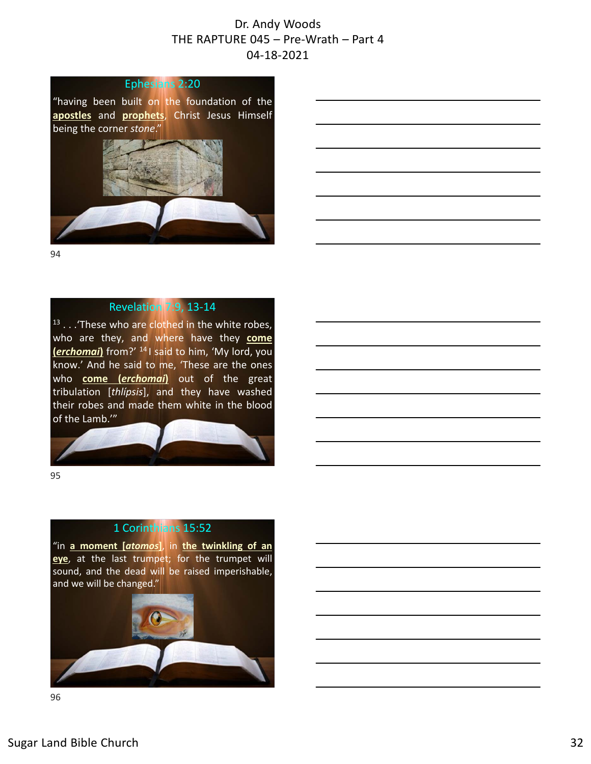

"having been built on the foundation of the **apostles** and **prophets**, Christ Jesus Himself being the corner *stone*."



94

#### Revelation 7:9, 13‐14

<sup>13</sup> . . . These who are clothed in the white robes, who are they, and where have they **come (***erchomai***)** from?' <sup>14</sup> I said to him, 'My lord, you know.' And he said to me, 'These are the ones who **come (***erchomai***)** out of the great tribulation [*thlípsis*], and they have washed their robes and made them white in the blood of the Lamb.'"

95

#### 1 Corinthians 15:52

"in **a moment [***atomos***]**, in **the twinkling of an eye**, at the last trumpet; for the trumpet will sound, and the dead will be raised imperishable, and we will be changed."

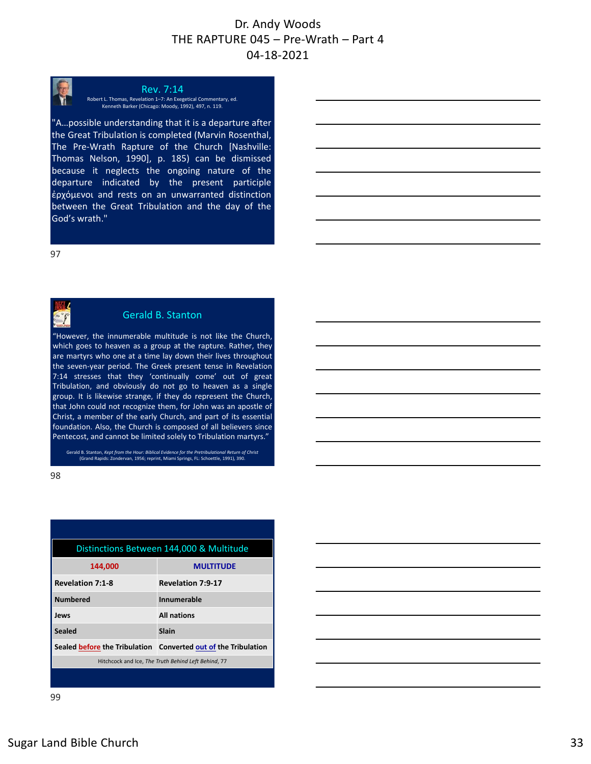

Rev. 7:14 Robert L. Thomas, Revelation 1–7: An Exegetical Commentary, ed. Kenneth Barker (Chicago: Moody, 1992), 497, n. 119.

"A…possible understanding that it is a departure after the Great Tribulation is completed (Marvin Rosenthal, The Pre‐Wrath Rapture of the Church [Nashville: Thomas Nelson, 1990], p. 185) can be dismissed because it neglects the ongoing nature of the departure indicated by the present participle ἐρχόμενοι and rests on an unwarranted distinction between the Great Tribulation and the day of the God's wrath."

97

#### Gerald B. Stanton

"However, the innumerable multitude is not like the Church, which goes to heaven as a group at the rapture. Rather, they are martyrs who one at a time lay down their lives throughout the seven‐year period. The Greek present tense in Revelation 7:14 stresses that they 'continually come' out of great Tribulation, and obviously do not go to heaven as a single group. It is likewise strange, if they do represent the Church, that John could not recognize them, for John was an apostle of Christ, a member of the early Church, and part of its essential foundation. Also, the Church is composed of all believers since Pentecost, and cannot be limited solely to Tribulation martyrs."

Gerald B. Stanton, *Kept from the Hour: Biblical Evidence for the Pretribulational Return of Christ* (Grand Rapids: Zondervan, 1956; reprint, Miami Springs, FL: Schoettle, 1991), 390.

98

| Distinctions Between 144,000 & Multitude            |                                                                |  |
|-----------------------------------------------------|----------------------------------------------------------------|--|
| 144.000                                             | <b>MULTITUDE</b>                                               |  |
| <b>Revelation 7:1-8</b>                             | <b>Revelation 7:9-17</b>                                       |  |
| <b>Numbered</b>                                     | Innumerable                                                    |  |
| Jews                                                | <b>All nations</b>                                             |  |
| <b>Sealed</b>                                       | Slain                                                          |  |
|                                                     | Sealed before the Tribulation Converted out of the Tribulation |  |
| Hitchcock and Ice, The Truth Behind Left Behind, 77 |                                                                |  |
|                                                     |                                                                |  |

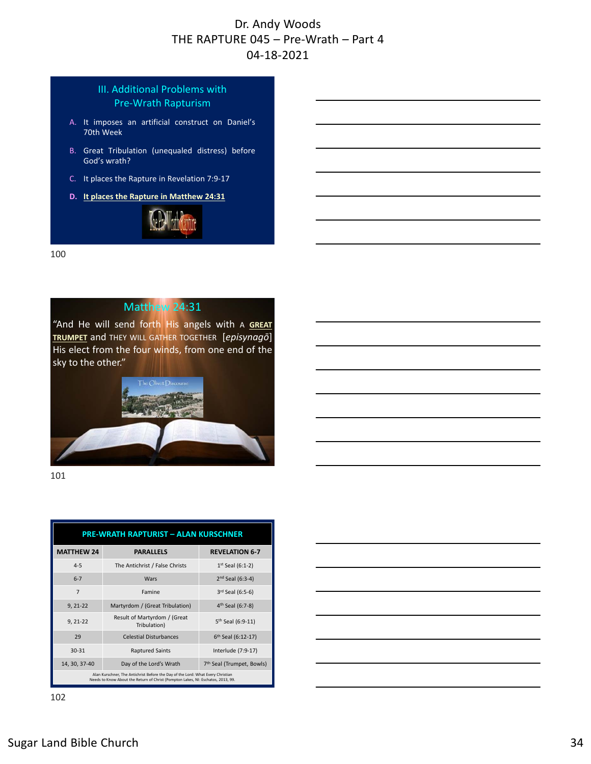#### III. Additional Problems with Pre‐Wrath Rapturism

- A. It imposes an artificial construct on Daniel's 70th Week
- B. Great Tribulation (unequaled distress) before God's wrath?
- C. It places the Rapture in Revelation 7:9‐17
- **D. It places the Rapture in Matthew 24:31**



100

# Matthew 24:31

"And He will send forth His angels with A **GREAT TRUMPET** and THEY WILL GATHER TOGETHER [*episynagō*] His elect from the four winds, from one end of the sky to the other."



101

| <b>PRE-WRATH RAPTURIST - ALAN KURSCHNER</b>                                                                                                                         |                                              |                                       |  |
|---------------------------------------------------------------------------------------------------------------------------------------------------------------------|----------------------------------------------|---------------------------------------|--|
| <b>MATTHEW 24</b>                                                                                                                                                   | <b>PARALLELS</b>                             | <b>REVELATION 6-7</b>                 |  |
| $4 - 5$                                                                                                                                                             | The Antichrist / False Christs               | $1^{st}$ Seal (6:1-2)                 |  |
| $6 - 7$                                                                                                                                                             | Wars                                         | $2nd$ Seal (6:3-4)                    |  |
| $\overline{7}$                                                                                                                                                      | Famine                                       | $3rd$ Seal (6:5-6)                    |  |
| $9, 21-22$                                                                                                                                                          | Martyrdom / (Great Tribulation)              | 4 <sup>th</sup> Seal (6:7-8)          |  |
| $9, 21-22$                                                                                                                                                          | Result of Martyrdom / (Great<br>Tribulation) | 5 <sup>th</sup> Seal (6:9-11)         |  |
| 29                                                                                                                                                                  | <b>Celestial Disturbances</b>                | 6 <sup>th</sup> Seal (6:12-17)        |  |
| $30 - 31$                                                                                                                                                           | <b>Raptured Saints</b>                       | Interlude (7:9-17)                    |  |
| 14, 30, 37-40                                                                                                                                                       | Day of the Lord's Wrath                      | 7 <sup>th</sup> Seal (Trumpet, Bowls) |  |
| Alan Kurschner, The Antichrist Before the Day of the Lord: What Every Christian<br>Needs to Know About the Return of Christ (Pompton Lakes, NI: Eschatos, 2013, 99, |                                              |                                       |  |

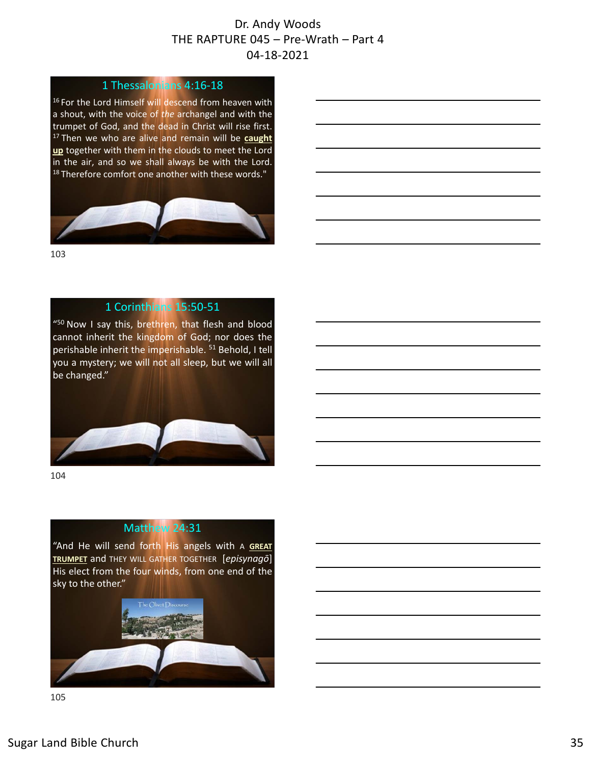#### 1 Thessalonians 4:16‐18

16 For the Lord Himself will descend from heaven with a shout, with the voice of *the* archangel and with the trumpet of God, and the dead in Christ will rise first. <sup>17</sup> Then we who are alive and remain will be **caught up** together with them in the clouds to meet the Lord in the air, and so we shall always be with the Lord. <sup>18</sup> Therefore comfort one another with these words."



103

#### 1 Corinthians 15:50‐51

"50 Now I say this, brethren, that flesh and blood cannot inherit the kingdom of God; nor does the perishable inherit the imperishable.<sup>51</sup> Behold, I tell you a mystery; we will not all sleep, but we will all be changed."



104

# Matthew 24:31

"And He will send forth His angels with A **GREAT TRUMPET** and THEY WILL GATHER TOGETHER [*episynagō*] His elect from the four winds, from one end of the sky to the other."

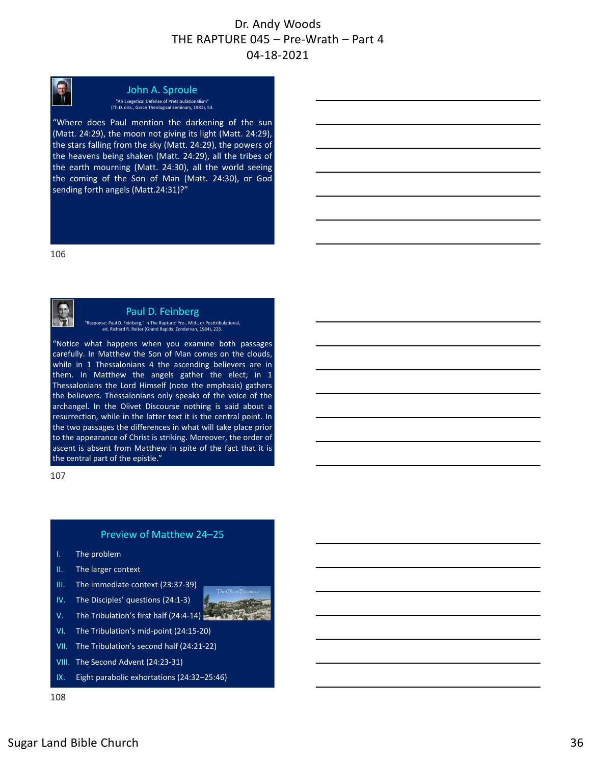

# John A. Sproule

"An Exegetical Defense of Pretribulationalism" (Th.D. diss., Grace Theological Seminary, 1981), 53.

"Where does Paul mention the darkening of the sun (Matt. 24:29), the moon not giving its light (Matt. 24:29), the stars falling from the sky (Matt. 24:29), the powers of the heavens being shaken (Matt. 24:29), all the tribes of the earth mourning (Matt. 24:30), all the world seeing the coming of the Son of Man (Matt. 24:30), or God sending forth angels (Matt.24:31)?"

106



#### Paul D. Feinberg

"Response: Paul D. Feinberg," in The Rapture: Pre‐, Mid‐, or Posttribulational, ed. Richard R. Reiter (Grand Rapids: Zondervan, 1984), 225.

"Notice what happens when you examine both passages carefully. In Matthew the Son of Man comes on the clouds, while in 1 Thessalonians 4 the ascending believers are in them. In Matthew the angels gather the elect; in 1 Thessalonians the Lord Himself (note the emphasis) gathers the believers. Thessalonians only speaks of the voice of the archangel. In the Olivet Discourse nothing is said about a resurrection, while in the latter text it is the central point. In the two passages the differences in what will take place prior to the appearance of Christ is striking. Moreover, the order of ascent is absent from Matthew in spite of the fact that it is the central part of the epistle."

107

#### Preview of Matthew 24–25

- I. The problem
- II. The larger context
- III. The immediate context (23:37‐39)
- IV. The Disciples' questions (24:1‐3)
- V. The Tribulation's first half  $(24:4-14)$
- VI. The Tribulation's mid‐point (24:15‐20)
- VII. The Tribulation's second half (24:21‐22)
- VIII. The Second Advent (24:23‐31)
- IX. Eight parabolic exhortations (24:32-25:46)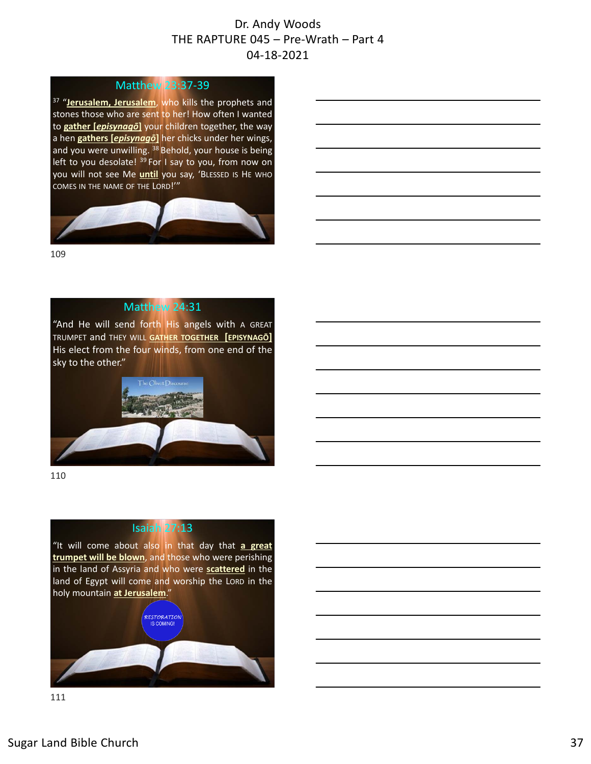#### Matthew 23:37‐39

<sup>37</sup> "Jerusalem, Jerusalem, who kills the prophets and stones those who are sent to her! How often I wanted to **gather [***episynagō***]** your children together, the way a hen **gathers [***episynagō***]** her chicks under her wings, and you were unwilling. <sup>38</sup> Behold, your house is being left to you desolate! <sup>39</sup> For I say to you, from now on you will not see Me **until** you say, 'BLESSED IS HE WHO COMES IN THE NAME OF THE LORD!'"



109

#### Matthew 24:31

"And He will send forth His angels with A GREAT TRUMPET and THEY WILL **GATHER TOGETHER [EPISYNAGŌ]** His elect from the four winds, from one end of the sky to the other."



110

## Isaiah 27:13

"It will come about also in that day that **a great trumpet will be blown**, and those who were perishing in the land of Assyria and who were **scattered** in the land of Egypt will come and worship the LORD in the holy mountain **at Jerusalem**."